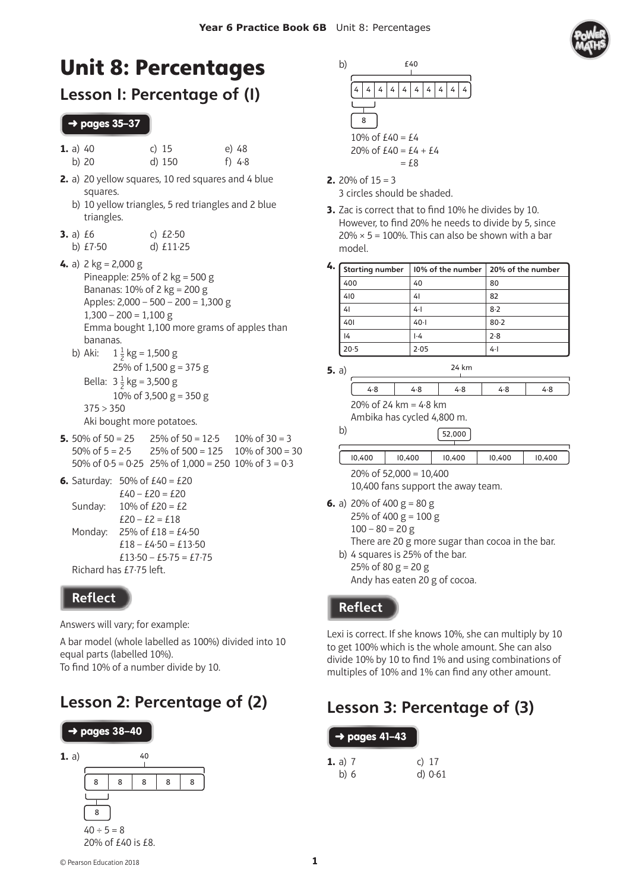

# Unit 8: Percentages

### Lesson 1: Percentage of (1)

#### ➜ pages 35**–37**

| <b>1.</b> a) $40$ | c) $15$ | e) 48    |
|-------------------|---------|----------|
| b) 20             | d) 150  | f) $4.8$ |

- **2.** a) 20 yellow squares, 10 red squares and 4 blue squares.
	- b) 10 yellow triangles, 5 red triangles and 2 blue triangles.
- **3.** a) £6 c) £2·50 b) £7·50 d) £11·25
- **4.** a) 2 kg = 2,000 g Pineapple: 25% of 2 kg = 500 g Bananas: 10% of 2 kg = 200 g Apples: 2,000 – 500 – 200 = 1,300 g  $1,300 - 200 = 1,100$  g Emma bought 1,100 more grams of apples than bananas.
	- b) Aki:  $\frac{1}{2}$  kg = 1,500 g 25% of 1,500  $g = 375 g$ Bella:  $3\frac{1}{2}$  kg = 3,500 g 10% of 3,500 g = 350 g  $375 > 350$ Aki bought more potatoes.
- **5.**  $50\%$  of  $50 = 25$  25% of  $50 = 12.5$  10% of  $30 = 3$ 50% of  $5 = 2.5$  25% of  $500 = 125$  10% of  $300 = 30$ 50% of  $0.5 = 0.25$  25% of  $1,000 = 250$  10% of  $3 = 0.3$
- **6.** Saturday:  $50\%$  of  $£40 = £20$  $£40 - £20 = £20$ Sunday:  $10\%$  of £20 = £2  $£20 - £2 = £18$ Monday:  $25%$  of  $£18 = £4.50$  $£18 - £4.50 = £13.50$  $£13.50 - £5.75 = £7.75$ Richard has  $£7.75$  left.

# **Reflect**

Answers will vary; for example:

A bar model (whole labelled as 100%) divided into 10 equal parts (labelled 10%). To find 10% of a number divide by 10.

# Lesson 2: Percentage of (2)





- **2.**  $20\%$  of  $15 = 3$ 3 circles should be shaded.
- **3.** Zac is correct that to find 10% he divides by 10. However, to find 20% he needs to divide by 5, since  $20\% \times 5 = 100\%$ . This can also be shown with a bar model.

| 4. | Starting number |           | 10% of the number 20% of the number |
|----|-----------------|-----------|-------------------------------------|
|    | 400             | 40        | 80                                  |
|    | 410             | 41        | 82                                  |
|    | 4 <sup>1</sup>  | 4·1       | $8-2$                               |
|    | 401             | $40 - 1$  | $80 - 2$                            |
|    | 4               | $\cdot 4$ | 2.8                                 |
|    | 20.5            | 2.05      | $4 -$                               |

**5.** a)

4.8 4.8 4.8 4.8 4.8 20% of 24 km = 4·8 km

24 km

Ambika has cycled 4,800 m.

b)

| 10,400                 | 10,400 | 10,400 | 10,400 | 10.400 |  |
|------------------------|--------|--------|--------|--------|--|
| $200/2552000 - 10/100$ |        |        |        |        |  |

52,000

20% of 52,000 = 10,400 10,400 fans support the away team.

- **6.** a) 20% of 400  $g = 80 g$ 25% of 400  $g = 100 g$ 
	- $100 80 = 20 g$
	- There are 20 g more sugar than cocoa in the bar. b) 4 squares is 25% of the bar.
	- $25%$  of  $80 g = 20 g$ Andy has eaten 20 g of cocoa.

#### **Reflect**

Lexi is correct. If she knows 10%, she can multiply by 10 to get 100% which is the whole amount. She can also divide 10% by 10 to find 1% and using combinations of multiples of 10% and 1% can find any other amount.

# Lesson 3: Percentage of (3)

| $\rightarrow$ pages 41-43  |                    |
|----------------------------|--------------------|
| <b>1.</b> a) $7$<br>b) $6$ | c) $17$<br>d) 0.61 |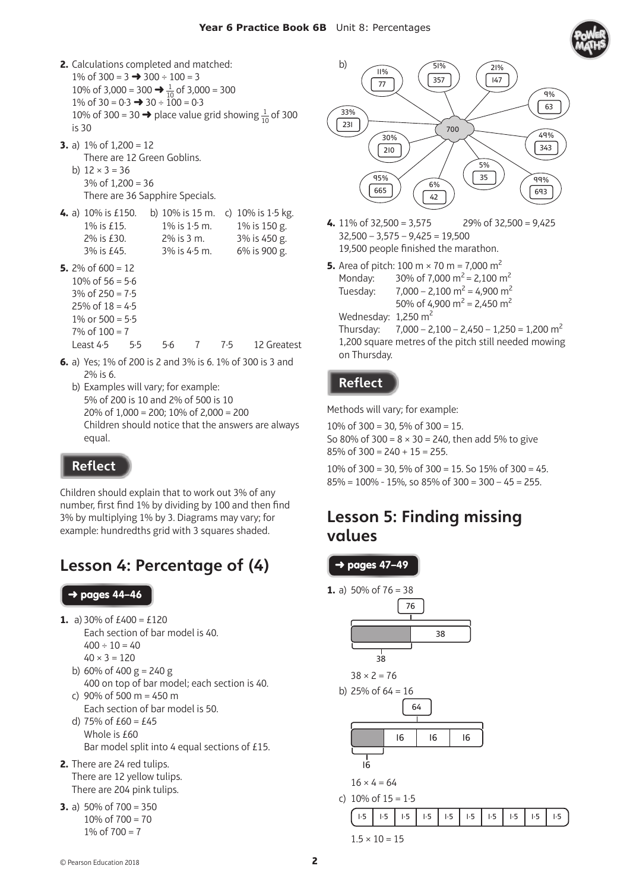

- **2.** Calculations completed and matched: 1% of  $300 = 3 \rightarrow 300 \div 100 = 3$ 10% of 3,000 = 300  $\rightarrow \frac{1}{10}$  of 3,000 = 300 1% of  $30 = 0.3 \rightarrow 30 \div 100 = 0.3$ 10% of 300 = 30  $\rightarrow$  place value grid showing  $\frac{1}{10}$  of 300 is 30 **3.** a) 1% of 1,200 = 12
	- There are 12 Green Goblins. b)  $12 \times 3 = 36$  $3\%$  of  $1.200 = 36$ There are 36 Sapphire Specials.
- **4.** a) 10% is £150. b) 10% is 15 m. c) 10% is 1·5 kg. 1% is £15. 1% is 1·5 m. 1% is 150 g. 2% is £30. 2% is 3 m. 3% is 450 g. 3% is £45. 3% is 4·5 m. 6% is 900 g.
- **5.**  $2\%$  of  $600 = 12$ 10% of  $56 = 5.6$  $3\%$  of  $250 = 7.5$ 25% of  $18 = 4.5$ 1% or  $500 = 5.5$ 
	- $7\%$  of  $100 = 7$

Least 4·5 5·5 5·6 7 7·5 12 Greatest

- **6.** a) Yes; 1% of 200 is 2 and 3% is 6. 1% of 300 is 3 and 2% is 6.
	- b) Examples will vary; for example: 5% of 200 is 10 and 2% of 500 is 10 20% of 1,000 = 200; 10% of 2,000 = 200 Children should notice that the answers are always equal.

#### **Reflect**

Children should explain that to work out 3% of any number, first find 1% by dividing by 100 and then find 3% by multiplying 1% by 3. Diagrams may vary; for example: hundredths grid with 3 squares shaded.

# Lesson 4: Percentage of (4)

#### ➜ pages **44–46**

- **1.** a) 30% of  $£400 = £120$ 
	- Each section of bar model is 40.  $400 \div 10 = 40$  $40 \times 3 = 120$
	- b) 60% of 400  $g = 240 g$ 400 on top of bar model; each section is 40.
	- c)  $90\%$  of 500 m = 450 m Each section of bar model is 50.
	- d)  $75%$  of  $£60 = £45$  Whole is £60 Bar model split into 4 equal sections of £15.
- **2.** There are 24 red tulips. There are 12 yellow tulips. There are 204 pink tulips.
- **3.** a)  $50\%$  of  $700 = 350$  $10\% \text{ of } 700 = 70$ 1% of  $700 = 7$



- **4.** 11% of 32,500 = 3,575 29% of 32,500 = 9,425  $32,500 - 3,575 - 9,425 = 19,500$ 19,500 people finished the marathon.
- **5.** Area of pitch: 100 m  $\times$  70 m = 7,000 m<sup>2</sup> Monday: 30% of 7,000 m<sup>2</sup> = 2,100 m<sup>2</sup> Tuesday:  $7,000 - 2,100 \text{ m}^2 = 4,900 \text{ m}^2$ 50% of 4,900  $m^2$  = 2,450  $m^2$ Wednesday:  $1,250 \text{ m}^2$

Thursday:  $7,000 - 2,100 - 2,450 - 1,250 = 1,200$  m<sup>2</sup> 1,200 square metres of the pitch still needed mowing on Thursday.

#### **Reflect**

Methods will vary; for example:

10% of 300 = 30, 5% of 300 = 15. So 80% of 300 =  $8 \times 30 = 240$ , then add 5% to give  $85\%$  of  $300 = 240 + 15 = 255$ .

10% of 300 = 30, 5% of 300 = 15. So 15% of 300 = 45.  $85\% = 100\% - 15\%$ , so  $85\%$  of  $300 = 300 - 45 = 255$ .

### Lesson 5: Finding missing values

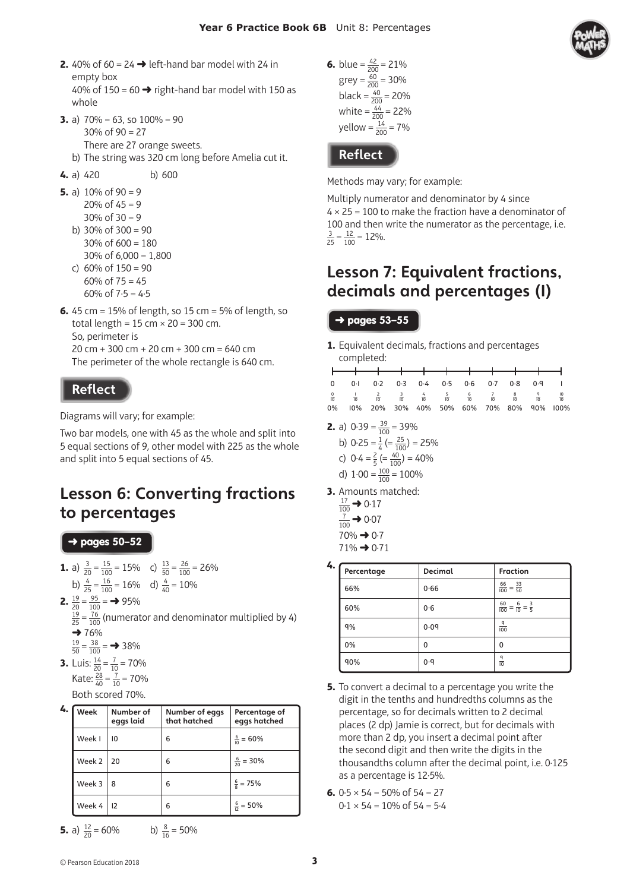

- **2.**  $40\%$  of  $60 = 24 \rightarrow$  left-hand bar model with 24 in empty box 40% of 150 = 60  $\rightarrow$  right-hand bar model with 150 as
- **3.** a)  $70\% = 63$ , so  $100\% = 90$ 30% of 90 = 27 There are 27 orange sweets.
	- b) The string was 320 cm long before Amelia cut it.
- **4.** a) 420 b) 600

whole

- **5.** a)  $10\%$  of  $90 = 9$ 20% of  $45 = 9$  $30\%$  of  $30 = 9$ b)  $30\%$  of  $300 = 90$ 30% of  $600 = 180$  $30\%$  of  $6,000 = 1,800$ c)  $60\%$  of  $150 = 90$ 60% of  $75 = 45$ 
	- 60% of  $7.5 = 4.5$
- **6.** 45 cm = 15% of length, so 15 cm = 5% of length, so total length =  $15$  cm  $\times$  20 = 300 cm. So, perimeter is 20 cm + 300 cm + 20 cm + 300 cm = 640 cm The perimeter of the whole rectangle is 640 cm.

#### **Reflect**

Diagrams will vary; for example:

Two bar models, one with 45 as the whole and split into 5 equal sections of 9, other model with 225 as the whole and split into 5 equal sections of 45.

# Lesson 6: Converting fractions to percentages

➜ pages **50–52** 

- **1.** a)  $\frac{3}{20} = \frac{15}{100} = 15\%$  c)  $\frac{13}{50} = \frac{26}{100} = 26\%$ b)  $\frac{4}{25} = \frac{16}{100} = 16\%$  d)  $\frac{4}{40} = 10\%$ 
	-
- **2.**  $\frac{19}{20} = \frac{95}{100} = \rightarrow 95\%$  $\frac{19}{25}$  =  $\frac{76}{100}$  (numerator and denominator multiplied by 4)  $\rightarrow$  76%
	-
	- $\frac{19}{50} = \frac{38}{100} = \implies 38\%$
- **3.** Luis:  $\frac{14}{20} = \frac{7}{10} = 70\%$ Kate:  $\frac{28}{40} = \frac{7}{10} = 70\%$ Both scored 70%.

| 4. | Week             | Number of<br>eggs laid | Number of eggs<br>that hatched | Percentage of<br>eggs hatched |
|----|------------------|------------------------|--------------------------------|-------------------------------|
|    | Week I           | 10                     | 6                              | $\frac{6}{10}$ = 60%          |
|    | Week $2 \mid 20$ |                        | 6                              | $\frac{6}{20}$ = 30%          |
|    | Week 3           | 8                      | 6                              | $\frac{6}{8}$ = 75%           |
|    | Week 4           | 12                     | 6                              | $\frac{6}{12}$ = 50%          |

**5.** a) 
$$
\frac{12}{20} = 60\%
$$
   
b)  $\frac{8}{16} = 50\%$ 

**6.** blue =  $\frac{42}{200}$  = 21%  $grey = \frac{60}{200} = 30\%$ black =  $\frac{40}{200}$  = 20% white  $=\frac{44}{200}$  = 22% yellow  $=\frac{14}{200}$  = 7%

**Reflect** 

Methods may vary; for example:

Multiply numerator and denominator by 4 since  $4 \times 25 = 100$  to make the fraction have a denominator of 100 and then write the numerator as the percentage, i.e.  $\frac{3}{25} = \frac{12}{100} = 12\%$ .

### Lesson 7: Equivalent fractions, decimals and percentages (1)

#### ➜ pages **53–55**

**1.** Equivalent decimals, fractions and percentages completed:

|  | 0 0 0 0 0 0 2 0 3 0 4 0 5 0 6 0 7 0 8 0 9 1                                                                                                                           |  |  |  |  |
|--|-----------------------------------------------------------------------------------------------------------------------------------------------------------------------|--|--|--|--|
|  | $\frac{0}{10}$ $\frac{1}{10}$ $\frac{2}{10}$ $\frac{3}{10}$ $\frac{4}{10}$ $\frac{5}{10}$ $\frac{6}{10}$ $\frac{7}{10}$ $\frac{8}{10}$ $\frac{9}{10}$ $\frac{10}{10}$ |  |  |  |  |
|  | 0% 10% 20% 30% 40% 50% 60% 70% 80% 90% 100%                                                                                                                           |  |  |  |  |

- **2.** a)  $0.39 = \frac{39}{100} = 39\%$ 
	- b)  $0.25 = \frac{1}{4} \left( = \frac{25}{100} \right) = 25\%$
	- c)  $0.4 = \frac{2}{5} (= \frac{40}{100}) = 40\%$
	- d)  $1.00 = \frac{100}{100} = 100\%$
- **3.** Amounts matched:
	- $\frac{17}{100}$   $\rightarrow$  0.17  $\frac{7}{100}$   $\rightarrow$  0.07  $70\% \rightarrow 0.7$ 71% ➜ 0·71

| 4. | Percentage | <b>Decimal</b> | <b>Fraction</b>                               |
|----|------------|----------------|-----------------------------------------------|
|    | 66%        | 0.66           | $\frac{66}{100} = \frac{33}{50}$              |
|    | 60%        | 0.6            | $\frac{60}{100} = \frac{6}{10} = \frac{3}{5}$ |
|    | $q\%$      | 0.09           | $rac{q}{100}$                                 |
|    | 0%         | 0              | 0                                             |
|    | 90%        | 0.9            | $\frac{q}{10}$                                |

- **5.** To convert a decimal to a percentage you write the digit in the tenths and hundredths columns as the percentage, so for decimals written to 2 decimal places (2 dp) Jamie is correct, but for decimals with more than 2 dp, you insert a decimal point after the second digit and then write the digits in the thousandths column after the decimal point, i.e. 0.125 as a percentage is 12·5%.
- **6.**  $0.5 \times 54 = 50\%$  of  $54 = 27$  $0.1 \times 54 = 10\%$  of  $54 = 5.4$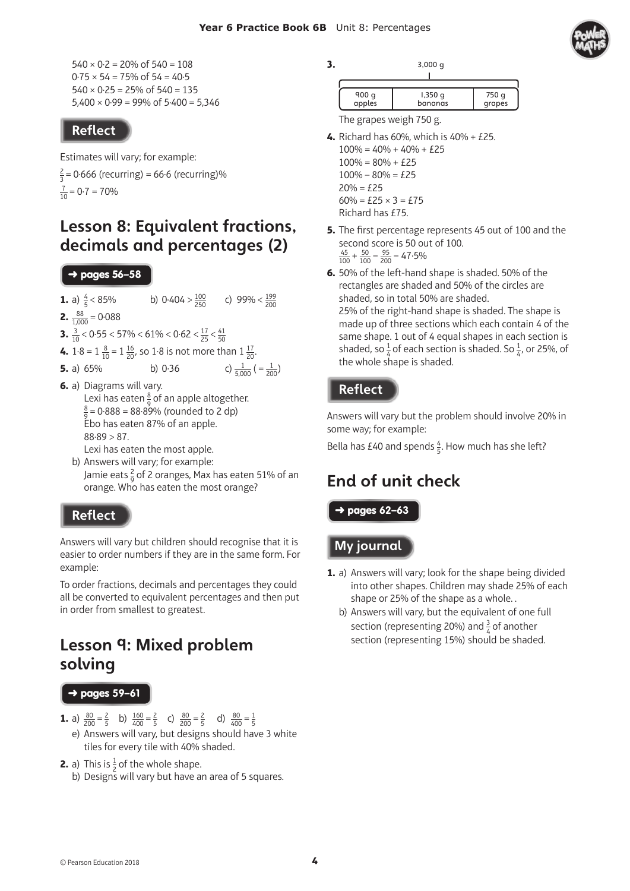$540 \times 0.2 = 20\% \text{ of } 540 = 108$  $0.75 \times 54 = 75\%$  of  $54 = 40.5$  $540 \times 0.25 = 25\% \text{ of } 540 = 135$  $5,400 \times 0.99 = 99\%$  of  $5.400 = 5,346$ 

#### **Reflect**

Estimates will vary; for example:

 $\frac{2}{3}$  = 0·666 (recurring) = 66·6 (recurring)%  $\frac{7}{10}$  = 0·7 = 70%

### Lesson 8: Equivalent fractions, decimals and percentages (2)

#### ➜ pages 5**6–58**

- **1.** a)  $\frac{4}{5}$  $-1 < 85\%$  b)  $0.404 > \frac{100}{250}$  c)  $99\% < \frac{199}{200}$
- **2.**  $\frac{88}{1,000} = 0.088$
- **3.**  $\frac{3}{10}$  < 0.55 < 57% < 61% < 0.62 <  $\frac{17}{25}$  <  $\frac{41}{50}$
- **4.**  $1 \cdot 8 = 1 \frac{8}{10} = 1 \frac{16}{20}$ , so 1 $\cdot 8$  is not more than  $1 \frac{17}{20}$ .

**5.** a) 65% b) 0.36 c) 
$$
\frac{1}{5,000} = \frac{1}{200}
$$

**6.** a) Diagrams will vary. Lexi has eaten  $\frac{8}{9}$  of an apple altogether. 8  $\frac{8}{9}$  = 0.888 = 88.89% (rounded to 2 dp) Ebo has eaten 87% of an apple.  $88.89 > 87$ .

Lexi has eaten the most apple.

b) Answers will vary; for example: Jamie eats  $\frac{2}{9}$  of 2 oranges, Max has eaten 51% of an orange. Who has eaten the most orange?

#### **Reflect**

Answers will vary but children should recognise that it is easier to order numbers if they are in the same form. For example:

To order fractions, decimals and percentages they could all be converted to equivalent percentages and then put in order from smallest to greatest.

### Lesson 9: Mixed problem solving

#### ➜ pages **59–61**

- **1.** a)  $\frac{80}{200} = \frac{2}{5}$  b)  $\frac{160}{400} = \frac{2}{5}$  c)  $\frac{80}{200} = \frac{2}{5}$  d)  $\frac{80}{400} = \frac{1}{5}$ e) Answers will vary, but designs should have 3 white tiles for every tile with 40% shaded.
- **2.** a) This is  $\frac{1}{2}$  of the whole shape. b) Designs will vary but have an area of 5 squares.

**3.** 3,000 g

| 900 q  | $1,350$ q | 750 q  |
|--------|-----------|--------|
| apples | bananas   | grapes |

The grapes weigh 750 g.

- **4.** Richard has 60%, which is 40% + £25.
	- $100\% = 40\% + 40\% + 25$  $100\% = 80\% + E25$  $100\% - 80\% = \text{\pounds}25$  $20% = £25$  $60\% = £25 \times 3 = £75$ Richard has £75.
- **5.** The first percentage represents 45 out of 100 and the second score is 50 out of 100.  $\frac{45}{100} + \frac{50}{100} = \frac{95}{200} = 47.5\%$
- **6.** 50% of the left-hand shape is shaded. 50% of the rectangles are shaded and 50% of the circles are shaded, so in total 50% are shaded. 25% of the right-hand shape is shaded. The shape is made up of three sections which each contain 4 of the same shape. 1 out of 4 equal shapes in each section is shaded, so  $\frac{1}{4}$  of each section is shaded. So  $\frac{1}{4}$ , or 25%, of the whole shape is shaded.

#### **Reflect**

Answers will vary but the problem should involve 20% in some way; for example:

Bella has £40 and spends  $\frac{4}{5}$ . How much has she left?

# End of unit check

➜ pages **62–63** 

My journal

- **1.** a) Answers will vary; look for the shape being divided into other shapes. Children may shade 25% of each shape or 25% of the shape as a whole. .
	- b) Answers will vary, but the equivalent of one full section (representing 20%) and  $\frac{3}{4}$  of another section (representing 15%) should be shaded.